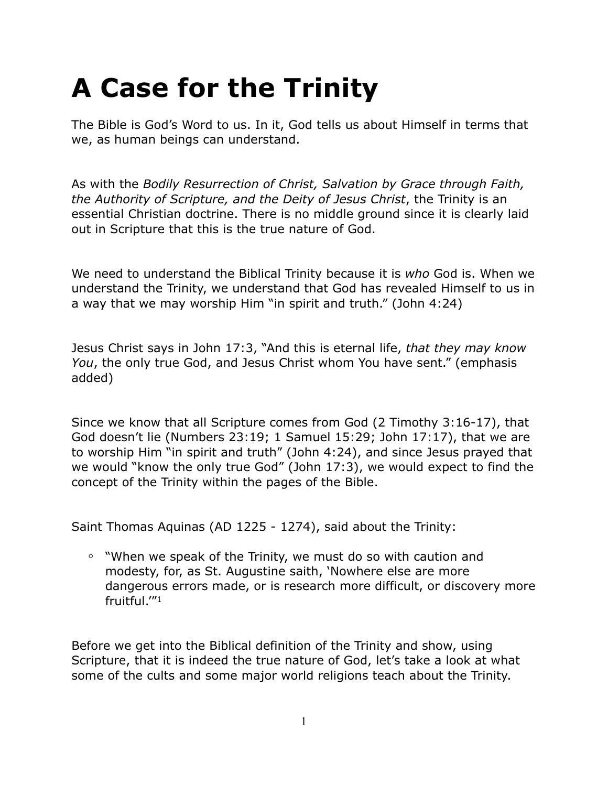# **A Case for the Trinity**

The Bible is God's Word to us. In it, God tells us about Himself in terms that we, as human beings can understand.

As with the *Bodily Resurrection of Christ, Salvation by Grace through Faith, the Authority of Scripture, and the Deity of Jesus Christ*, the Trinity is an essential Christian doctrine. There is no middle ground since it is clearly laid out in Scripture that this is the true nature of God.

We need to understand the Biblical Trinity because it is *who* God is. When we understand the Trinity, we understand that God has revealed Himself to us in a way that we may worship Him "in spirit and truth." (John 4:24)

Jesus Christ says in John 17:3, "And this is eternal life, *that they may know You*, the only true God, and Jesus Christ whom You have sent." (emphasis added)

Since we know that all Scripture comes from God (2 Timothy 3:16-17), that God doesn't lie (Numbers 23:19; 1 Samuel 15:29; John 17:17), that we are to worship Him "in spirit and truth" (John 4:24), and since Jesus prayed that we would "know the only true God" (John 17:3), we would expect to find the concept of the Trinity within the pages of the Bible.

Saint Thomas Aquinas (AD 1225 - 1274), said about the Trinity:

**◦** "When we speak of the Trinity, we must do so with caution and modesty, for, as St. Augustine saith, 'Nowhere else are more dangerous errors made, or is research more difficult, or discovery more fruitful.'"1

Before we get into the Biblical definition of the Trinity and show, using Scripture, that it is indeed the true nature of God, let's take a look at what some of the cults and some major world religions teach about the Trinity.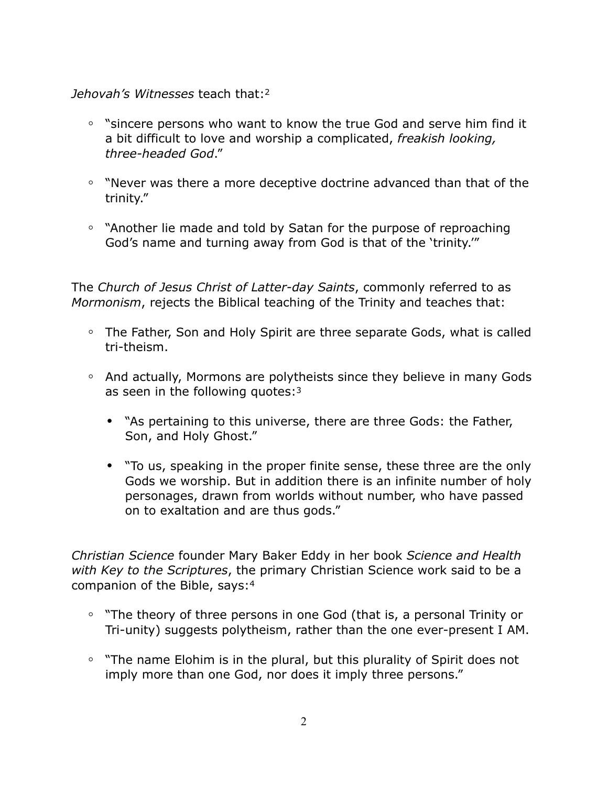*Jehovah's Witnesses* teach that:2

- **◦** "sincere persons who want to know the true God and serve him find it a bit difficult to love and worship a complicated, *freakish looking, three-headed God*."
- **◦** "Never was there a more deceptive doctrine advanced than that of the trinity."
- **◦** "Another lie made and told by Satan for the purpose of reproaching God's name and turning away from God is that of the 'trinity.'"

The *Church of Jesus Christ of Latter-day Saints*, commonly referred to as *Mormonism*, rejects the Biblical teaching of the Trinity and teaches that:

- **◦** The Father, Son and Holy Spirit are three separate Gods, what is called tri-theism.
- **◦** And actually, Mormons are polytheists since they believe in many Gods as seen in the following quotes:<sup>3</sup>
	- **•** "As pertaining to this universe, there are three Gods: the Father, Son, and Holy Ghost."
	- **•** "To us, speaking in the proper finite sense, these three are the only Gods we worship. But in addition there is an infinite number of holy personages, drawn from worlds without number, who have passed on to exaltation and are thus gods."

*Christian Science* founder Mary Baker Eddy in her book *Science and Health with Key to the Scriptures*, the primary Christian Science work said to be a companion of the Bible, says:4

- **◦** "The theory of three persons in one God (that is, a personal Trinity or Tri-unity) suggests polytheism, rather than the one ever-present I AM.
- **◦** "The name Elohim is in the plural, but this plurality of Spirit does not imply more than one God, nor does it imply three persons."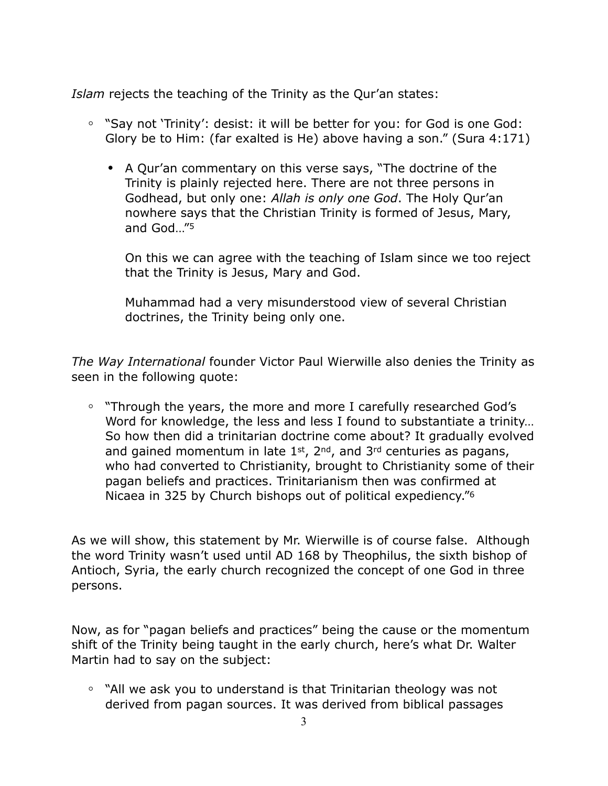*Islam* rejects the teaching of the Trinity as the Qur'an states:

- **◦** "Say not 'Trinity': desist: it will be better for you: for God is one God: Glory be to Him: (far exalted is He) above having a son." (Sura 4:171)
	- **•** A Qur'an commentary on this verse says, "The doctrine of the Trinity is plainly rejected here. There are not three persons in Godhead, but only one: *Allah is only one God*. The Holy Qur'an nowhere says that the Christian Trinity is formed of Jesus, Mary, and God…"5

On this we can agree with the teaching of Islam since we too reject that the Trinity is Jesus, Mary and God.

Muhammad had a very misunderstood view of several Christian doctrines, the Trinity being only one.

*The Way International* founder Victor Paul Wierwille also denies the Trinity as seen in the following quote:

**◦** "Through the years, the more and more I carefully researched God's Word for knowledge, the less and less I found to substantiate a trinity… So how then did a trinitarian doctrine come about? It gradually evolved and gained momentum in late  $1<sup>st</sup>$ ,  $2<sup>nd</sup>$ , and  $3<sup>rd</sup>$  centuries as pagans, who had converted to Christianity, brought to Christianity some of their pagan beliefs and practices. Trinitarianism then was confirmed at Nicaea in 325 by Church bishops out of political expediency."6

As we will show, this statement by Mr. Wierwille is of course false. Although the word Trinity wasn't used until AD 168 by Theophilus, the sixth bishop of Antioch, Syria, the early church recognized the concept of one God in three persons.

Now, as for "pagan beliefs and practices" being the cause or the momentum shift of the Trinity being taught in the early church, here's what Dr. Walter Martin had to say on the subject:

**◦** "All we ask you to understand is that Trinitarian theology was not derived from pagan sources. It was derived from biblical passages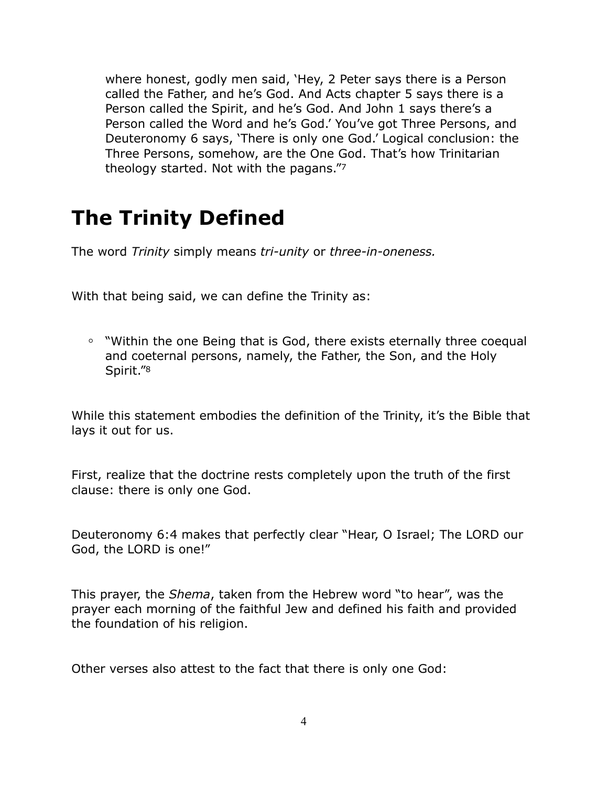where honest, godly men said, 'Hey, 2 Peter says there is a Person called the Father, and he's God. And Acts chapter 5 says there is a Person called the Spirit, and he's God. And John 1 says there's a Person called the Word and he's God.' You've got Three Persons, and Deuteronomy 6 says, 'There is only one God.' Logical conclusion: the Three Persons, somehow, are the One God. That's how Trinitarian theology started. Not with the pagans."7

# **The Trinity Defined**

The word *Trinity* simply means *tri-unity* or *three-in-oneness.* 

With that being said, we can define the Trinity as:

**◦** "Within the one Being that is God, there exists eternally three coequal and coeternal persons, namely, the Father, the Son, and the Holy Spirit."8

While this statement embodies the definition of the Trinity, it's the Bible that lays it out for us.

First, realize that the doctrine rests completely upon the truth of the first clause: there is only one God.

Deuteronomy 6:4 makes that perfectly clear "Hear, O Israel; The LORD our God, the LORD is one!"

This prayer, the *Shema*, taken from the Hebrew word "to hear", was the prayer each morning of the faithful Jew and defined his faith and provided the foundation of his religion.

Other verses also attest to the fact that there is only one God: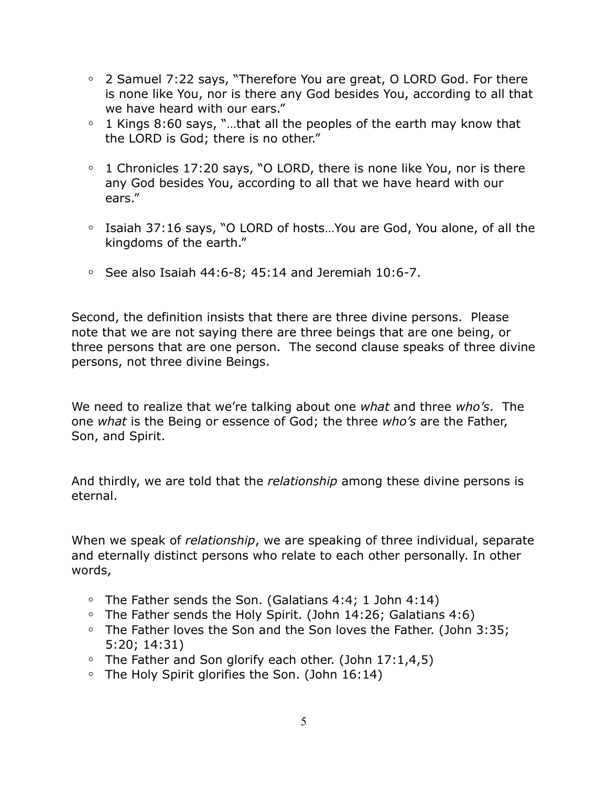- **◦** 2 Samuel 7:22 says, "Therefore You are great, O LORD God. For there is none like You, nor is there any God besides You, according to all that we have heard with our ears."
- **◦** 1 Kings 8:60 says, "…that all the peoples of the earth may know that the LORD is God; there is no other."
- **◦** 1 Chronicles 17:20 says, "O LORD, there is none like You, nor is there any God besides You, according to all that we have heard with our ears."
- **◦** Isaiah 37:16 says, "O LORD of hosts…You are God, You alone, of all the kingdoms of the earth."
- **◦** See also Isaiah 44:6-8; 45:14 and Jeremiah 10:6-7.

Second, the definition insists that there are three divine persons. Please note that we are not saying there are three beings that are one being, or three persons that are one person. The second clause speaks of three divine persons, not three divine Beings.

We need to realize that we're talking about one *what* and three *who's*. The one *what* is the Being or essence of God; the three *who's* are the Father, Son, and Spirit.

And thirdly, we are told that the *relationship* among these divine persons is eternal.

When we speak of *relationship*, we are speaking of three individual, separate and eternally distinct persons who relate to each other personally. In other words,

- **◦** The Father sends the Son. (Galatians 4:4; 1 John 4:14)
- **◦** The Father sends the Holy Spirit. (John 14:26; Galatians 4:6)
- **◦** The Father loves the Son and the Son loves the Father. (John 3:35; 5:20; 14:31)
- **◦** The Father and Son glorify each other. (John 17:1,4,5)
- **◦** The Holy Spirit glorifies the Son. (John 16:14)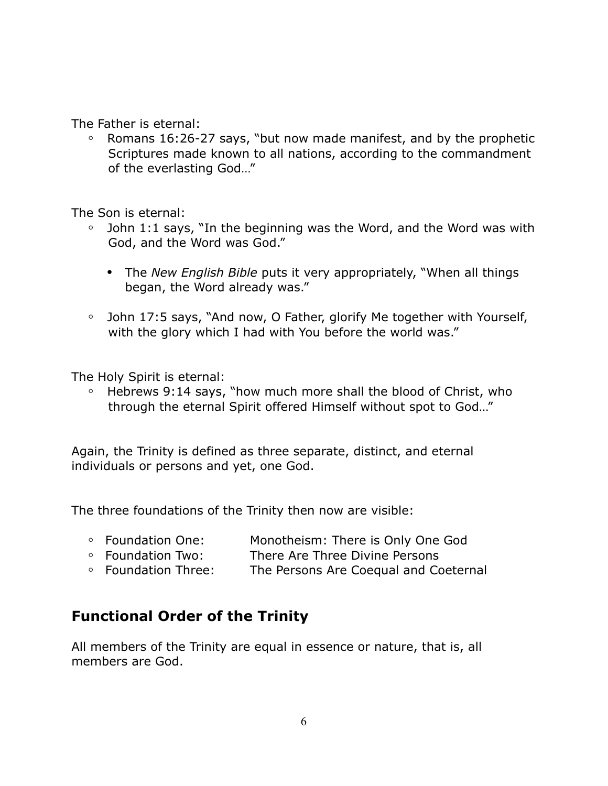The Father is eternal:

**◦** Romans 16:26-27 says, "but now made manifest, and by the prophetic Scriptures made known to all nations, according to the commandment of the everlasting God…"

The Son is eternal:

- **◦** John 1:1 says, "In the beginning was the Word, and the Word was with God, and the Word was God."
	- **•** The *New English Bible* puts it very appropriately, "When all things began, the Word already was."
- **◦** John 17:5 says, "And now, O Father, glorify Me together with Yourself, with the glory which I had with You before the world was."

The Holy Spirit is eternal:

**◦** Hebrews 9:14 says, "how much more shall the blood of Christ, who through the eternal Spirit offered Himself without spot to God…"

Again, the Trinity is defined as three separate, distinct, and eternal individuals or persons and yet, one God.

The three foundations of the Trinity then now are visible:

- **◦** Foundation One: Monotheism: There is Only One God
- **◦** Foundation Two: There Are Three Divine Persons
- **◦** Foundation Three: The Persons Are Coequal and Coeternal

# **Functional Order of the Trinity**

All members of the Trinity are equal in essence or nature, that is, all members are God.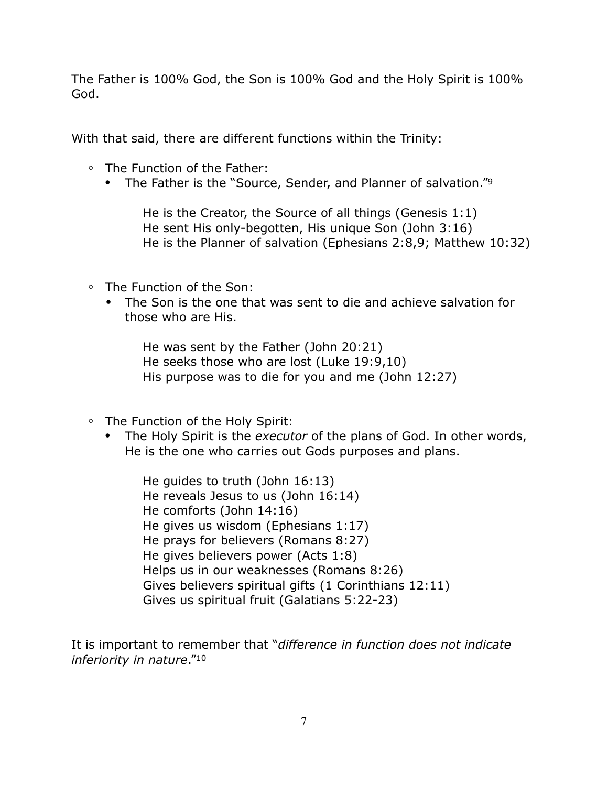The Father is 100% God, the Son is 100% God and the Holy Spirit is 100% God.

With that said, there are different functions within the Trinity:

- **◦** The Function of the Father:
	- **•** The Father is the "Source, Sender, and Planner of salvation."9

He is the Creator, the Source of all things (Genesis 1:1) He sent His only-begotten, His unique Son (John 3:16) He is the Planner of salvation (Ephesians 2:8,9; Matthew 10:32)

- **◦** The Function of the Son:
	- **•** The Son is the one that was sent to die and achieve salvation for those who are His.

He was sent by the Father (John 20:21) He seeks those who are lost (Luke 19:9,10) His purpose was to die for you and me (John 12:27)

- **◦** The Function of the Holy Spirit:
	- **•** The Holy Spirit is the *executor* of the plans of God. In other words, He is the one who carries out Gods purposes and plans.

He guides to truth (John 16:13) He reveals Jesus to us (John 16:14) He comforts (John 14:16) He gives us wisdom (Ephesians 1:17) He prays for believers (Romans 8:27) He gives believers power (Acts 1:8) Helps us in our weaknesses (Romans 8:26) Gives believers spiritual gifts (1 Corinthians 12:11) Gives us spiritual fruit (Galatians 5:22-23)

It is important to remember that "*difference in function does not indicate inferiority in nature*."10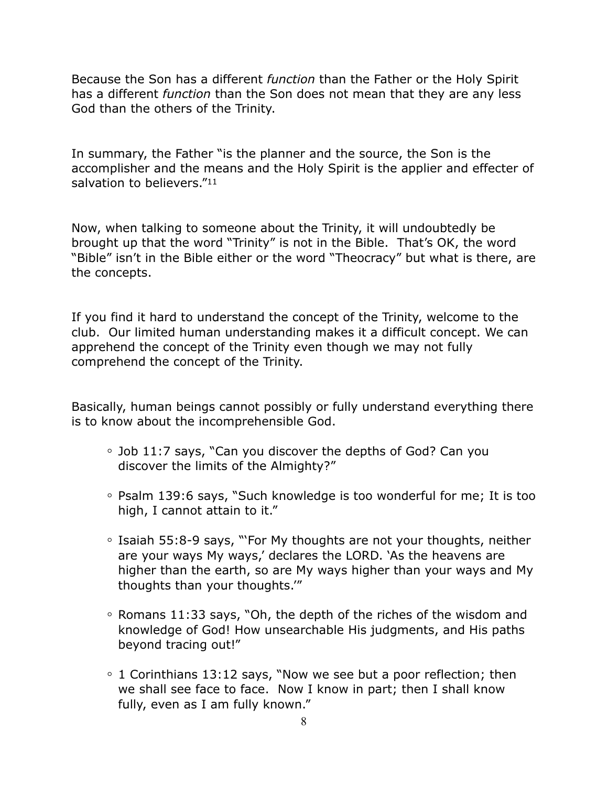Because the Son has a different *function* than the Father or the Holy Spirit has a different *function* than the Son does not mean that they are any less God than the others of the Trinity.

In summary, the Father "is the planner and the source, the Son is the accomplisher and the means and the Holy Spirit is the applier and effecter of salvation to believers."<sup>11</sup>

Now, when talking to someone about the Trinity, it will undoubtedly be brought up that the word "Trinity" is not in the Bible. That's OK, the word "Bible" isn't in the Bible either or the word "Theocracy" but what is there, are the concepts.

If you find it hard to understand the concept of the Trinity, welcome to the club. Our limited human understanding makes it a difficult concept. We can apprehend the concept of the Trinity even though we may not fully comprehend the concept of the Trinity.

Basically, human beings cannot possibly or fully understand everything there is to know about the incomprehensible God.

- **◦** Job 11:7 says, "Can you discover the depths of God? Can you discover the limits of the Almighty?"
- **◦** Psalm 139:6 says, "Such knowledge is too wonderful for me; It is too high, I cannot attain to it."
- **◦** Isaiah 55:8-9 says, "'For My thoughts are not your thoughts, neither are your ways My ways,' declares the LORD. 'As the heavens are higher than the earth, so are My ways higher than your ways and My thoughts than your thoughts.'"
- **◦** Romans 11:33 says, "Oh, the depth of the riches of the wisdom and knowledge of God! How unsearchable His judgments, and His paths beyond tracing out!"
- **◦** 1 Corinthians 13:12 says, "Now we see but a poor reflection; then we shall see face to face. Now I know in part; then I shall know fully, even as I am fully known."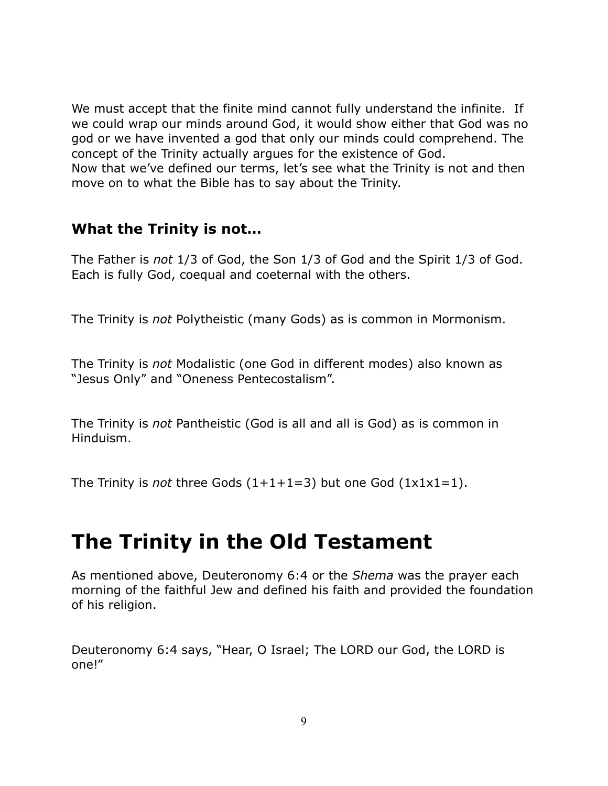We must accept that the finite mind cannot fully understand the infinite. If we could wrap our minds around God, it would show either that God was no god or we have invented a god that only our minds could comprehend. The concept of the Trinity actually argues for the existence of God. Now that we've defined our terms, let's see what the Trinity is not and then move on to what the Bible has to say about the Trinity.

### **What the Trinity is not…**

The Father is *not* 1/3 of God, the Son 1/3 of God and the Spirit 1/3 of God. Each is fully God, coequal and coeternal with the others.

The Trinity is *not* Polytheistic (many Gods) as is common in Mormonism.

The Trinity is *not* Modalistic (one God in different modes) also known as "Jesus Only" and "Oneness Pentecostalism".

The Trinity is *not* Pantheistic (God is all and all is God) as is common in Hinduism.

The Trinity is *not* three Gods  $(1+1+1=3)$  but one God  $(1x1x1=1)$ .

# **The Trinity in the Old Testament**

As mentioned above, Deuteronomy 6:4 or the *Shema* was the prayer each morning of the faithful Jew and defined his faith and provided the foundation of his religion.

Deuteronomy 6:4 says, "Hear, O Israel; The LORD our God, the LORD is one!"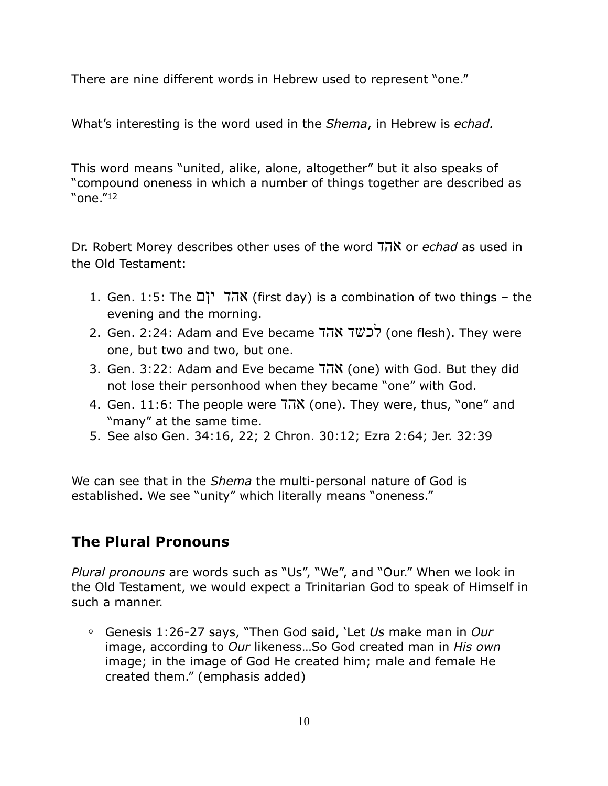There are nine different words in Hebrew used to represent "one."

What's interesting is the word used in the *Shema*, in Hebrew is *echad.*

This word means "united, alike, alone, altogether" but it also speaks of "compound oneness in which a number of things together are described as "one."12

Dr. Robert Morey describes other uses of the word אהד or *echad* as used in the Old Testament:

- 1. Gen. 1:5: The יןם אהד) first day) is a combination of two things the evening and the morning.
- 2. Gen. 2:24: Adam and Eve became אהד לכשד) one flesh). They were one, but two and two, but one.
- 3. Gen. 3:22: Adam and Eve became הוא (one) with God. But they did not lose their personhood when they became "one" with God.
- 4. Gen. 11:6: The people were  $7\overline{0}N$  (one). They were, thus, "one" and "many" at the same time.
- 5. See also Gen. 34:16, 22; 2 Chron. 30:12; Ezra 2:64; Jer. 32:39

We can see that in the *Shema* the multi-personal nature of God is established. We see "unity" which literally means "oneness."

# **The Plural Pronouns**

*Plural pronouns* are words such as "Us", "We", and "Our." When we look in the Old Testament, we would expect a Trinitarian God to speak of Himself in such a manner.

**◦** Genesis 1:26-27 says, "Then God said, 'Let *Us* make man in *Our* image, according to *Our* likeness…So God created man in *His own* image; in the image of God He created him; male and female He created them." (emphasis added)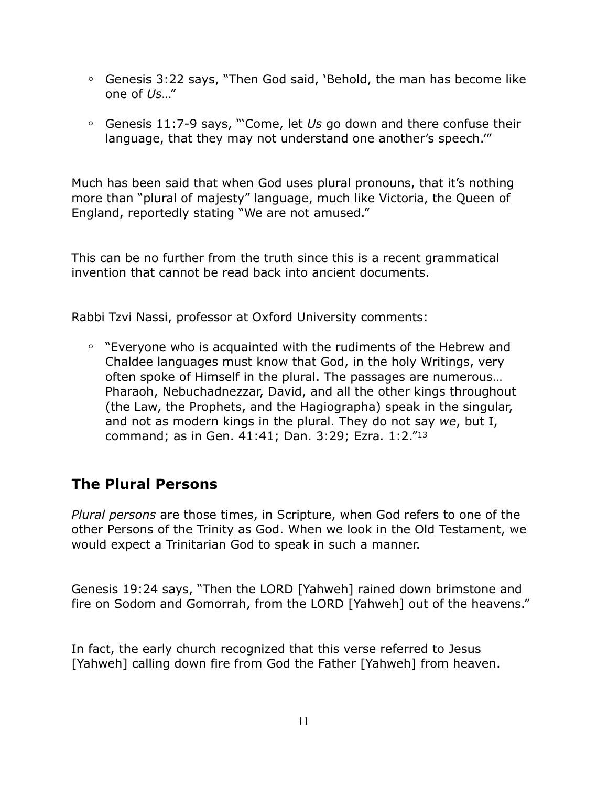- **◦** Genesis 3:22 says, "Then God said, 'Behold, the man has become like one of *Us*…"
- **◦** Genesis 11:7-9 says, "'Come, let *Us* go down and there confuse their language, that they may not understand one another's speech.'"

Much has been said that when God uses plural pronouns, that it's nothing more than "plural of majesty" language, much like Victoria, the Queen of England, reportedly stating "We are not amused."

This can be no further from the truth since this is a recent grammatical invention that cannot be read back into ancient documents.

Rabbi Tzvi Nassi, professor at Oxford University comments:

**◦** "Everyone who is acquainted with the rudiments of the Hebrew and Chaldee languages must know that God, in the holy Writings, very often spoke of Himself in the plural. The passages are numerous… Pharaoh, Nebuchadnezzar, David, and all the other kings throughout (the Law, the Prophets, and the Hagiographa) speak in the singular, and not as modern kings in the plural. They do not say *we*, but I, command; as in Gen. 41:41; Dan. 3:29; Ezra. 1:2."13

# **The Plural Persons**

*Plural persons* are those times, in Scripture, when God refers to one of the other Persons of the Trinity as God. When we look in the Old Testament, we would expect a Trinitarian God to speak in such a manner.

Genesis 19:24 says, "Then the LORD [Yahweh] rained down brimstone and fire on Sodom and Gomorrah, from the LORD [Yahweh] out of the heavens."

In fact, the early church recognized that this verse referred to Jesus [Yahweh] calling down fire from God the Father [Yahweh] from heaven.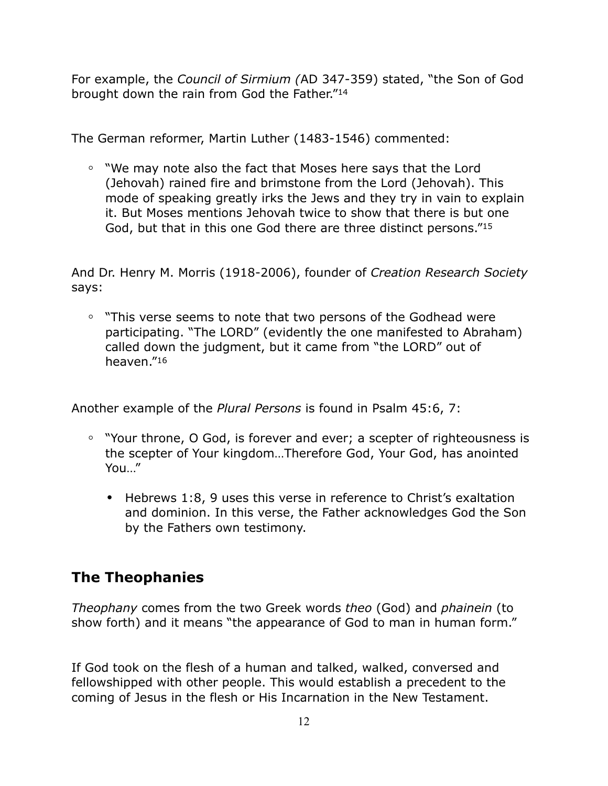For example, the *Council of Sirmium (*AD 347-359) stated, "the Son of God brought down the rain from God the Father."14

The German reformer, Martin Luther (1483-1546) commented:

**◦** "We may note also the fact that Moses here says that the Lord (Jehovah) rained fire and brimstone from the Lord (Jehovah). This mode of speaking greatly irks the Jews and they try in vain to explain it. But Moses mentions Jehovah twice to show that there is but one God, but that in this one God there are three distinct persons."15

And Dr. Henry M. Morris (1918-2006), founder of *Creation Research Society* says:

**◦** "This verse seems to note that two persons of the Godhead were participating. "The LORD" (evidently the one manifested to Abraham) called down the judgment, but it came from "the LORD" out of heaven."16

Another example of the *Plural Persons* is found in Psalm 45:6, 7:

- **◦** "Your throne, O God, is forever and ever; a scepter of righteousness is the scepter of Your kingdom…Therefore God, Your God, has anointed You…"
	- **•** Hebrews 1:8, 9 uses this verse in reference to Christ's exaltation and dominion. In this verse, the Father acknowledges God the Son by the Fathers own testimony.

# **The Theophanies**

*Theophany* comes from the two Greek words *theo* (God) and *phainein* (to show forth) and it means "the appearance of God to man in human form."

If God took on the flesh of a human and talked, walked, conversed and fellowshipped with other people. This would establish a precedent to the coming of Jesus in the flesh or His Incarnation in the New Testament.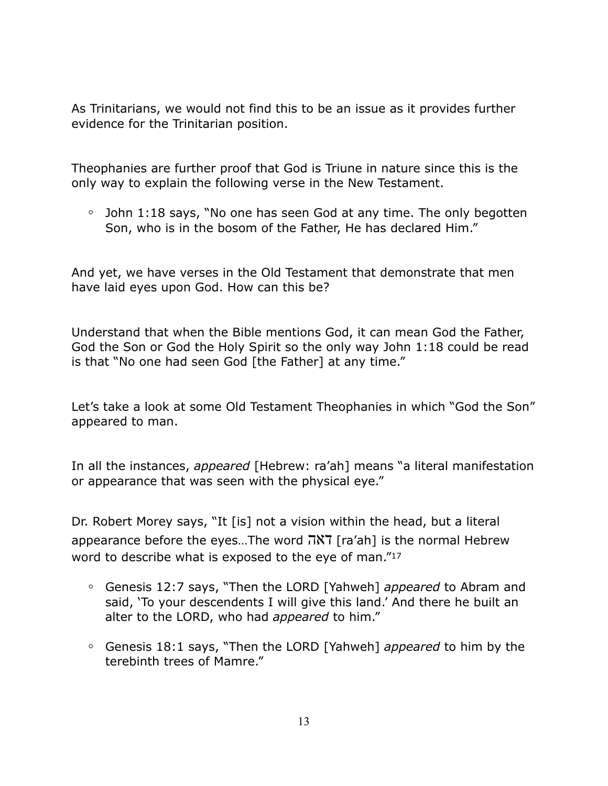As Trinitarians, we would not find this to be an issue as it provides further evidence for the Trinitarian position.

Theophanies are further proof that God is Triune in nature since this is the only way to explain the following verse in the New Testament.

**◦** John 1:18 says, "No one has seen God at any time. The only begotten Son, who is in the bosom of the Father, He has declared Him."

And yet, we have verses in the Old Testament that demonstrate that men have laid eyes upon God. How can this be?

Understand that when the Bible mentions God, it can mean God the Father, God the Son or God the Holy Spirit so the only way John 1:18 could be read is that "No one had seen God [the Father] at any time."

Let's take a look at some Old Testament Theophanies in which "God the Son" appeared to man.

In all the instances, *appeared* [Hebrew: ra'ah] means "a literal manifestation or appearance that was seen with the physical eye."

Dr. Robert Morey says, "It [is] not a vision within the head, but a literal appearance before the eyes…The word דאה] ra'ah] is the normal Hebrew word to describe what is exposed to the eye of man."<sup>17</sup>

- **◦** Genesis 12:7 says, "Then the LORD [Yahweh] *appeared* to Abram and said, 'To your descendents I will give this land.' And there he built an alter to the LORD, who had *appeared* to him."
- **◦** Genesis 18:1 says, "Then the LORD [Yahweh] *appeared* to him by the terebinth trees of Mamre."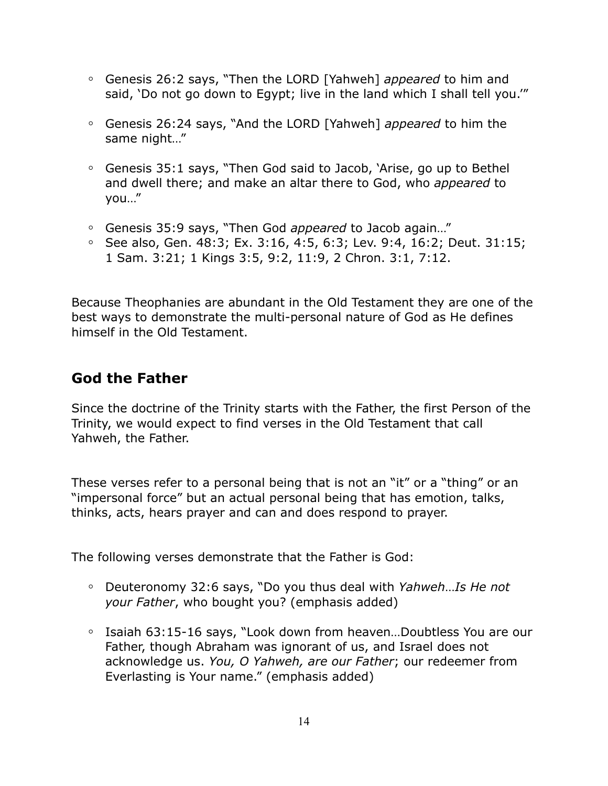- **◦** Genesis 26:2 says, "Then the LORD [Yahweh] *appeared* to him and said, 'Do not go down to Egypt; live in the land which I shall tell you.'"
- **◦** Genesis 26:24 says, "And the LORD [Yahweh] *appeared* to him the same night…"
- **◦** Genesis 35:1 says, "Then God said to Jacob, 'Arise, go up to Bethel and dwell there; and make an altar there to God, who *appeared* to you…"
- **◦** Genesis 35:9 says, "Then God *appeared* to Jacob again…"
- **◦** See also, Gen. 48:3; Ex. 3:16, 4:5, 6:3; Lev. 9:4, 16:2; Deut. 31:15; 1 Sam. 3:21; 1 Kings 3:5, 9:2, 11:9, 2 Chron. 3:1, 7:12.

Because Theophanies are abundant in the Old Testament they are one of the best ways to demonstrate the multi-personal nature of God as He defines himself in the Old Testament.

### **God the Father**

Since the doctrine of the Trinity starts with the Father, the first Person of the Trinity, we would expect to find verses in the Old Testament that call Yahweh, the Father.

These verses refer to a personal being that is not an "it" or a "thing" or an "impersonal force" but an actual personal being that has emotion, talks, thinks, acts, hears prayer and can and does respond to prayer.

The following verses demonstrate that the Father is God:

- **◦** Deuteronomy 32:6 says, "Do you thus deal with *Yahweh*…*Is He not your Father*, who bought you? (emphasis added)
- **◦** Isaiah 63:15-16 says, "Look down from heaven…Doubtless You are our Father, though Abraham was ignorant of us, and Israel does not acknowledge us. *You, O Yahweh, are our Father*; our redeemer from Everlasting is Your name." (emphasis added)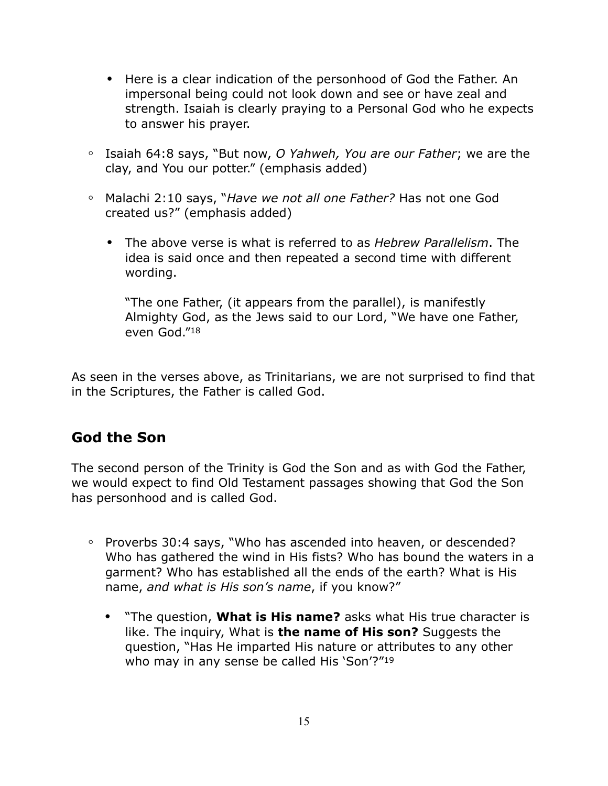- **•** Here is a clear indication of the personhood of God the Father. An impersonal being could not look down and see or have zeal and strength. Isaiah is clearly praying to a Personal God who he expects to answer his prayer.
- **◦** Isaiah 64:8 says, "But now, *O Yahweh, You are our Father*; we are the clay, and You our potter." (emphasis added)
- **◦** Malachi 2:10 says, "*Have we not all one Father?* Has not one God created us?" (emphasis added)
	- **•** The above verse is what is referred to as *Hebrew Parallelism*. The idea is said once and then repeated a second time with different wording.

"The one Father, (it appears from the parallel), is manifestly Almighty God, as the Jews said to our Lord, "We have one Father, even God."18

As seen in the verses above, as Trinitarians, we are not surprised to find that in the Scriptures, the Father is called God.

### **God the Son**

The second person of the Trinity is God the Son and as with God the Father, we would expect to find Old Testament passages showing that God the Son has personhood and is called God.

- **◦** Proverbs 30:4 says, "Who has ascended into heaven, or descended? Who has gathered the wind in His fists? Who has bound the waters in a garment? Who has established all the ends of the earth? What is His name, *and what is His son's name*, if you know?"
	- **•** "The question, **What is His name?** asks what His true character is like. The inquiry, What is **the name of His son?** Suggests the question, "Has He imparted His nature or attributes to any other who may in any sense be called His 'Son'?"<sup>19</sup>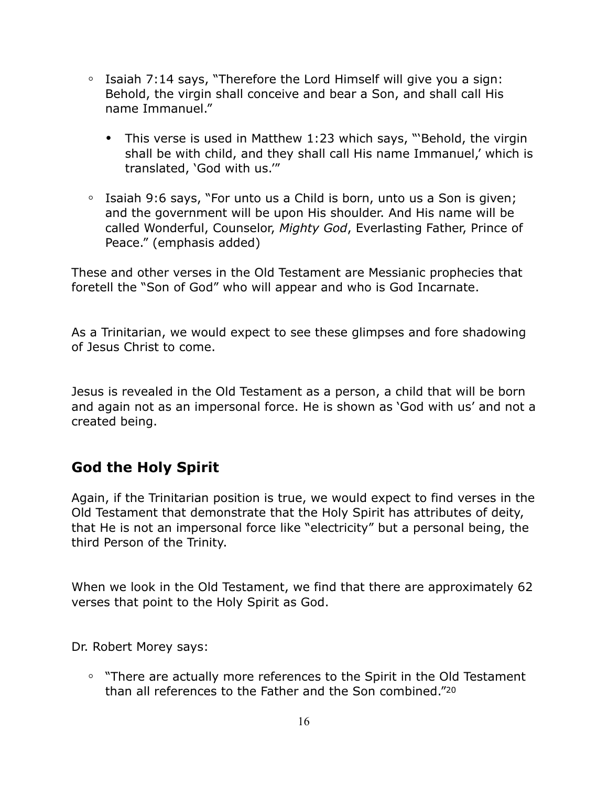- **◦** Isaiah 7:14 says, "Therefore the Lord Himself will give you a sign: Behold, the virgin shall conceive and bear a Son, and shall call His name Immanuel."
	- **•** This verse is used in Matthew 1:23 which says, "'Behold, the virgin shall be with child, and they shall call His name Immanuel,' which is translated, 'God with us.'"
- **◦** Isaiah 9:6 says, "For unto us a Child is born, unto us a Son is given; and the government will be upon His shoulder. And His name will be called Wonderful, Counselor, *Mighty God*, Everlasting Father, Prince of Peace." (emphasis added)

These and other verses in the Old Testament are Messianic prophecies that foretell the "Son of God" who will appear and who is God Incarnate.

As a Trinitarian, we would expect to see these glimpses and fore shadowing of Jesus Christ to come.

Jesus is revealed in the Old Testament as a person, a child that will be born and again not as an impersonal force. He is shown as 'God with us' and not a created being.

# **God the Holy Spirit**

Again, if the Trinitarian position is true, we would expect to find verses in the Old Testament that demonstrate that the Holy Spirit has attributes of deity, that He is not an impersonal force like "electricity" but a personal being, the third Person of the Trinity.

When we look in the Old Testament, we find that there are approximately 62 verses that point to the Holy Spirit as God.

Dr. Robert Morey says:

**◦** "There are actually more references to the Spirit in the Old Testament than all references to the Father and the Son combined."20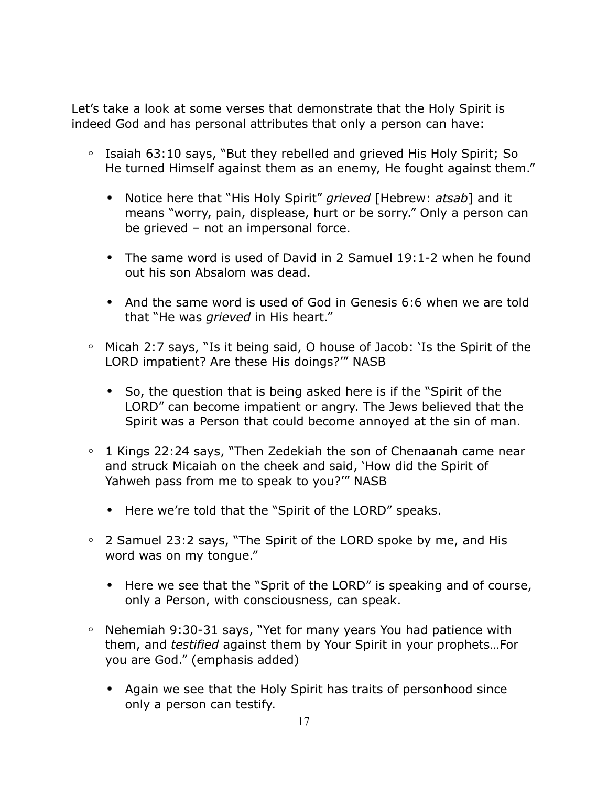Let's take a look at some verses that demonstrate that the Holy Spirit is indeed God and has personal attributes that only a person can have:

- **◦** Isaiah 63:10 says, "But they rebelled and grieved His Holy Spirit; So He turned Himself against them as an enemy, He fought against them."
	- **•** Notice here that "His Holy Spirit" *grieved* [Hebrew: *atsab*] and it means "worry, pain, displease, hurt or be sorry." Only a person can be grieved – not an impersonal force.
	- **•** The same word is used of David in 2 Samuel 19:1-2 when he found out his son Absalom was dead.
	- **•** And the same word is used of God in Genesis 6:6 when we are told that "He was *grieved* in His heart."
- **◦** Micah 2:7 says, "Is it being said, O house of Jacob: 'Is the Spirit of the LORD impatient? Are these His doings?'" NASB
	- **•** So, the question that is being asked here is if the "Spirit of the LORD" can become impatient or angry. The Jews believed that the Spirit was a Person that could become annoyed at the sin of man.
- **◦** 1 Kings 22:24 says, "Then Zedekiah the son of Chenaanah came near and struck Micaiah on the cheek and said, 'How did the Spirit of Yahweh pass from me to speak to you?'" NASB
	- **•** Here we're told that the "Spirit of the LORD" speaks.
- **◦** 2 Samuel 23:2 says, "The Spirit of the LORD spoke by me, and His word was on my tongue."
	- **•** Here we see that the "Sprit of the LORD" is speaking and of course, only a Person, with consciousness, can speak.
- **◦** Nehemiah 9:30-31 says, "Yet for many years You had patience with them, and *testified* against them by Your Spirit in your prophets…For you are God." (emphasis added)
	- **•** Again we see that the Holy Spirit has traits of personhood since only a person can testify.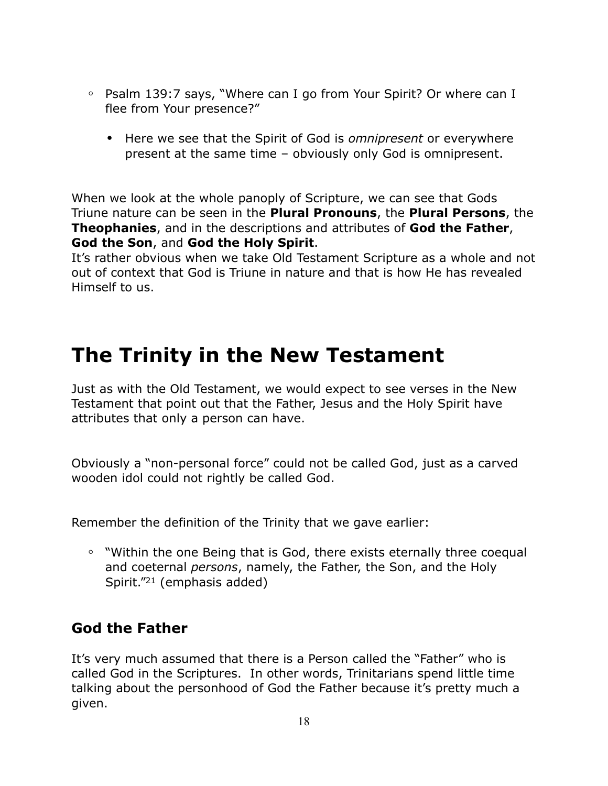- **◦** Psalm 139:7 says, "Where can I go from Your Spirit? Or where can I flee from Your presence?"
	- **•** Here we see that the Spirit of God is *omnipresent* or everywhere present at the same time – obviously only God is omnipresent.

When we look at the whole panoply of Scripture, we can see that Gods Triune nature can be seen in the **Plural Pronouns**, the **Plural Persons**, the **Theophanies**, and in the descriptions and attributes of **God the Father**, **God the Son**, and **God the Holy Spirit**.

It's rather obvious when we take Old Testament Scripture as a whole and not out of context that God is Triune in nature and that is how He has revealed Himself to us.

# **The Trinity in the New Testament**

Just as with the Old Testament, we would expect to see verses in the New Testament that point out that the Father, Jesus and the Holy Spirit have attributes that only a person can have.

Obviously a "non-personal force" could not be called God, just as a carved wooden idol could not rightly be called God.

Remember the definition of the Trinity that we gave earlier:

**◦** "Within the one Being that is God, there exists eternally three coequal and coeternal *persons*, namely, the Father, the Son, and the Holy Spirit."21 (emphasis added)

### **God the Father**

It's very much assumed that there is a Person called the "Father" who is called God in the Scriptures. In other words, Trinitarians spend little time talking about the personhood of God the Father because it's pretty much a given.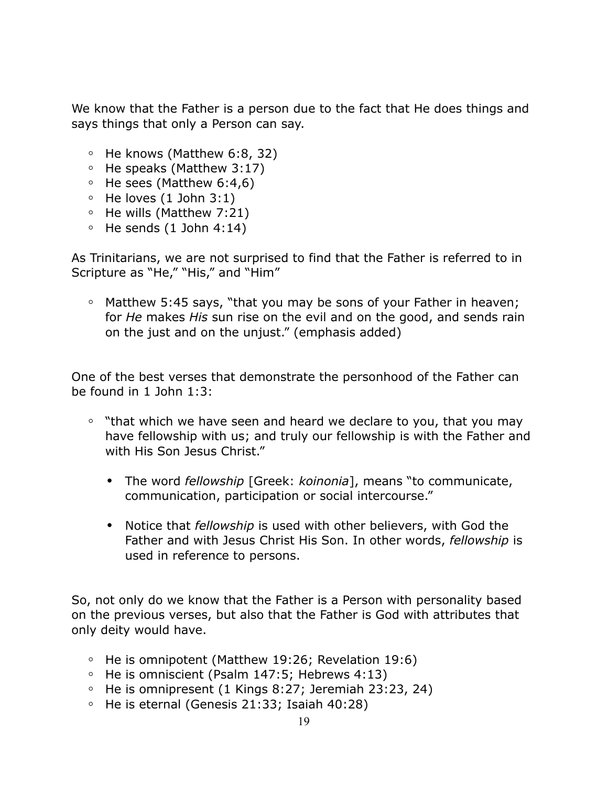We know that the Father is a person due to the fact that He does things and says things that only a Person can say.

- **◦** He knows (Matthew 6:8, 32)
- **◦** He speaks (Matthew 3:17)
- **◦** He sees (Matthew 6:4,6)
- **◦** He loves (1 John 3:1)
- **◦** He wills (Matthew 7:21)
- **◦** He sends (1 John 4:14)

As Trinitarians, we are not surprised to find that the Father is referred to in Scripture as "He," "His," and "Him"

**◦** Matthew 5:45 says, "that you may be sons of your Father in heaven; for *He* makes *His* sun rise on the evil and on the good, and sends rain on the just and on the unjust." (emphasis added)

One of the best verses that demonstrate the personhood of the Father can be found in 1 John 1:3:

- **◦** "that which we have seen and heard we declare to you, that you may have fellowship with us; and truly our fellowship is with the Father and with His Son Jesus Christ."
	- **•** The word *fellowship* [Greek: *koinonia*], means "to communicate, communication, participation or social intercourse."
	- **•** Notice that *fellowship* is used with other believers, with God the Father and with Jesus Christ His Son. In other words, *fellowship* is used in reference to persons.

So, not only do we know that the Father is a Person with personality based on the previous verses, but also that the Father is God with attributes that only deity would have.

- **◦** He is omnipotent (Matthew 19:26; Revelation 19:6)
- **◦** He is omniscient (Psalm 147:5; Hebrews 4:13)
- **◦** He is omnipresent (1 Kings 8:27; Jeremiah 23:23, 24)
- **◦** He is eternal (Genesis 21:33; Isaiah 40:28)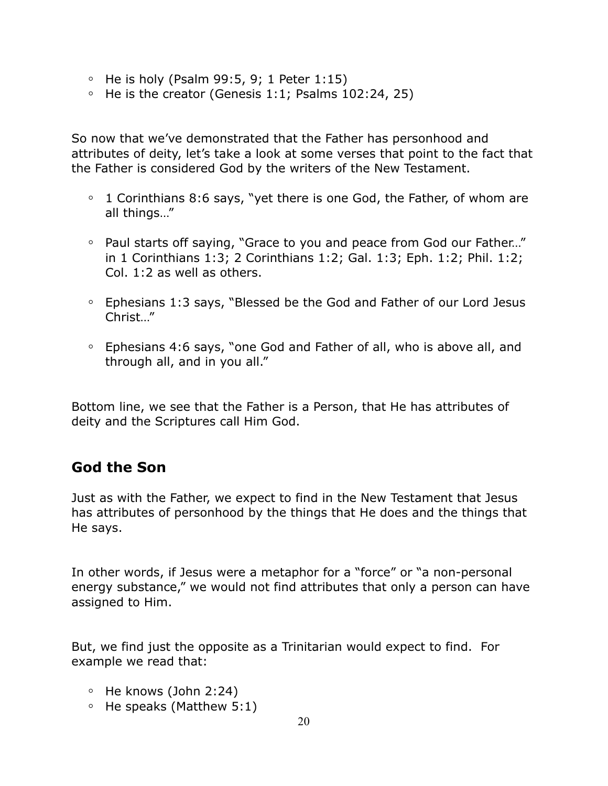- **◦** He is holy (Psalm 99:5, 9; 1 Peter 1:15)
- **◦** He is the creator (Genesis 1:1; Psalms 102:24, 25)

So now that we've demonstrated that the Father has personhood and attributes of deity, let's take a look at some verses that point to the fact that the Father is considered God by the writers of the New Testament.

- **◦** 1 Corinthians 8:6 says, "yet there is one God, the Father, of whom are all things…"
- **◦** Paul starts off saying, "Grace to you and peace from God our Father…" in 1 Corinthians 1:3; 2 Corinthians 1:2; Gal. 1:3; Eph. 1:2; Phil. 1:2; Col. 1:2 as well as others.
- **◦** Ephesians 1:3 says, "Blessed be the God and Father of our Lord Jesus Christ…"
- **◦** Ephesians 4:6 says, "one God and Father of all, who is above all, and through all, and in you all."

Bottom line, we see that the Father is a Person, that He has attributes of deity and the Scriptures call Him God.

### **God the Son**

Just as with the Father, we expect to find in the New Testament that Jesus has attributes of personhood by the things that He does and the things that He says.

In other words, if Jesus were a metaphor for a "force" or "a non-personal energy substance," we would not find attributes that only a person can have assigned to Him.

But, we find just the opposite as a Trinitarian would expect to find. For example we read that:

- **◦** He knows (John 2:24)
- **◦** He speaks (Matthew 5:1)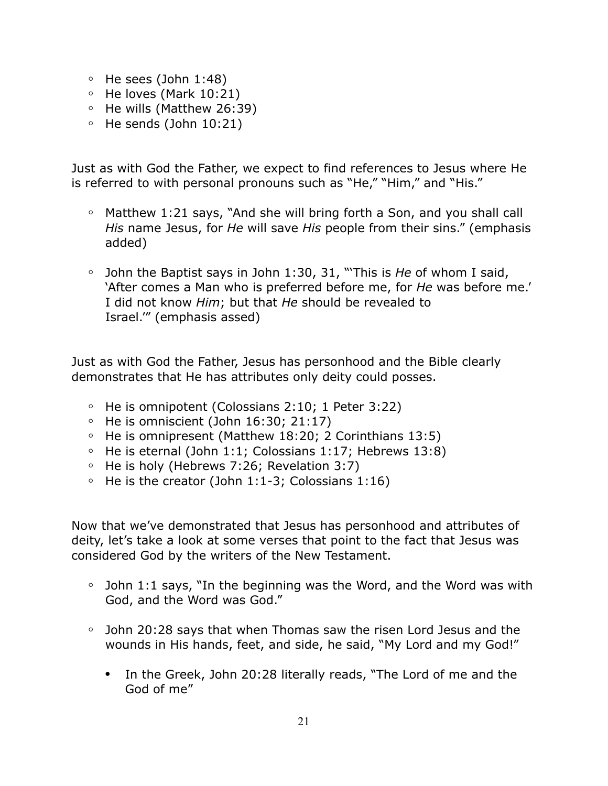- **◦** He sees (John 1:48)
- **◦** He loves (Mark 10:21)
- **◦** He wills (Matthew 26:39)
- **◦** He sends (John 10:21)

Just as with God the Father, we expect to find references to Jesus where He is referred to with personal pronouns such as "He," "Him," and "His."

- **◦** Matthew 1:21 says, "And she will bring forth a Son, and you shall call *His* name Jesus, for *He* will save *His* people from their sins." (emphasis added)
- **◦** John the Baptist says in John 1:30, 31, "'This is *He* of whom I said, 'After comes a Man who is preferred before me, for *He* was before me.' I did not know *Him*; but that *He* should be revealed to Israel.'" (emphasis assed)

Just as with God the Father, Jesus has personhood and the Bible clearly demonstrates that He has attributes only deity could posses.

- **◦** He is omnipotent (Colossians 2:10; 1 Peter 3:22)
- **◦** He is omniscient (John 16:30; 21:17)
- **◦** He is omnipresent (Matthew 18:20; 2 Corinthians 13:5)
- **◦** He is eternal (John 1:1; Colossians 1:17; Hebrews 13:8)
- **◦** He is holy (Hebrews 7:26; Revelation 3:7)
- **◦** He is the creator (John 1:1-3; Colossians 1:16)

Now that we've demonstrated that Jesus has personhood and attributes of deity, let's take a look at some verses that point to the fact that Jesus was considered God by the writers of the New Testament.

- **◦** John 1:1 says, "In the beginning was the Word, and the Word was with God, and the Word was God."
- **◦** John 20:28 says that when Thomas saw the risen Lord Jesus and the wounds in His hands, feet, and side, he said, "My Lord and my God!"
	- **•** In the Greek, John 20:28 literally reads, "The Lord of me and the God of me"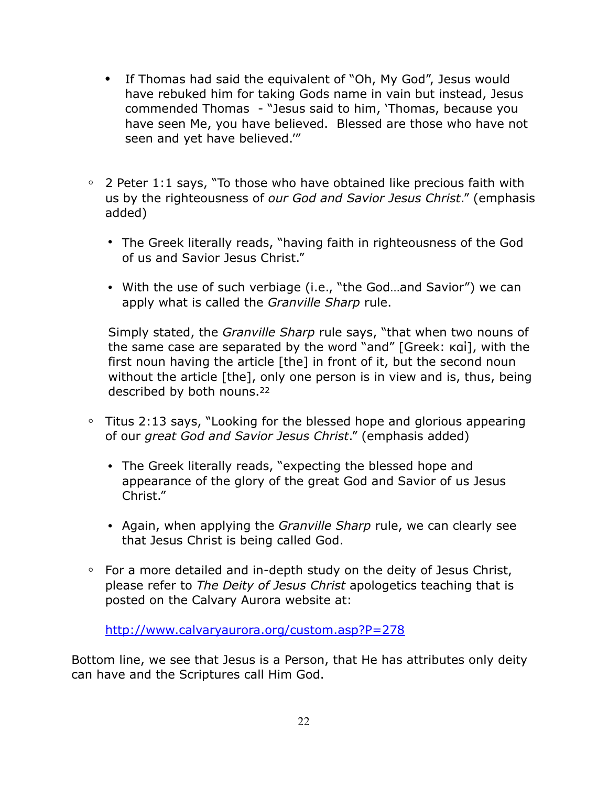- **•** If Thomas had said the equivalent of "Oh, My God", Jesus would have rebuked him for taking Gods name in vain but instead, Jesus commended Thomas - "Jesus said to him, 'Thomas, because you have seen Me, you have believed. Blessed are those who have not seen and yet have believed.'"
- **◦** 2 Peter 1:1 says, "To those who have obtained like precious faith with us by the righteousness of *our God and Savior Jesus Christ*." (emphasis added)
	- **•** The Greek literally reads, "having faith in righteousness of the God of us and Savior Jesus Christ."
	- **•** With the use of such verbiage (i.e., "the God…and Savior") we can apply what is called the *Granville Sharp* rule.

Simply stated, the *Granville Sharp* rule says, "that when two nouns of the same case are separated by the word "and" [Greek: καί], with the first noun having the article [the] in front of it, but the second noun without the article [the], only one person is in view and is, thus, being described by both nouns.22

- **◦** Titus 2:13 says, "Looking for the blessed hope and glorious appearing of our *great God and Savior Jesus Christ*." (emphasis added)
	- **•** The Greek literally reads, "expecting the blessed hope and appearance of the glory of the great God and Savior of us Jesus Christ."
	- **•** Again, when applying the *Granville Sharp* rule, we can clearly see that Jesus Christ is being called God.
- **◦** For a more detailed and in-depth study on the deity of Jesus Christ, please refer to *The Deity of Jesus Christ* apologetics teaching that is posted on the Calvary Aurora website at:

<http://www.calvaryaurora.org/custom.asp?P=278>

Bottom line, we see that Jesus is a Person, that He has attributes only deity can have and the Scriptures call Him God.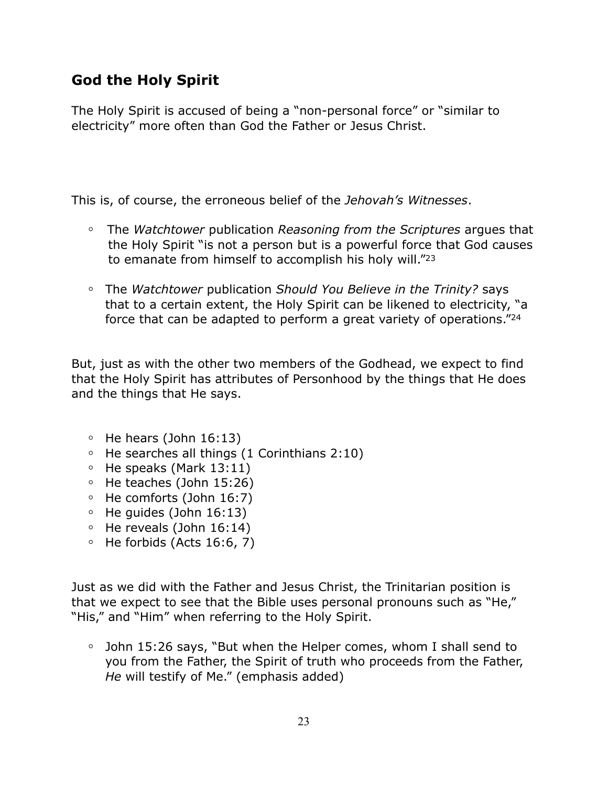# **God the Holy Spirit**

The Holy Spirit is accused of being a "non-personal force" or "similar to electricity" more often than God the Father or Jesus Christ.

This is, of course, the erroneous belief of the *Jehovah's Witnesses*.

- **◦** The *Watchtower* publication *Reasoning from the Scriptures* argues that the Holy Spirit "is not a person but is a powerful force that God causes to emanate from himself to accomplish his holy will."23
- **◦** The *Watchtower* publication *Should You Believe in the Trinity?* says that to a certain extent, the Holy Spirit can be likened to electricity, "a force that can be adapted to perform a great variety of operations."24

But, just as with the other two members of the Godhead, we expect to find that the Holy Spirit has attributes of Personhood by the things that He does and the things that He says.

- **◦** He hears (John 16:13)
- **◦** He searches all things (1 Corinthians 2:10)
- **◦** He speaks (Mark 13:11)
- **◦** He teaches (John 15:26)
- **◦** He comforts (John 16:7)
- **◦** He guides (John 16:13)
- **◦** He reveals (John 16:14)
- **◦** He forbids (Acts 16:6, 7)

Just as we did with the Father and Jesus Christ, the Trinitarian position is that we expect to see that the Bible uses personal pronouns such as "He," "His," and "Him" when referring to the Holy Spirit.

**◦** John 15:26 says, "But when the Helper comes, whom I shall send to you from the Father, the Spirit of truth who proceeds from the Father, *He* will testify of Me." (emphasis added)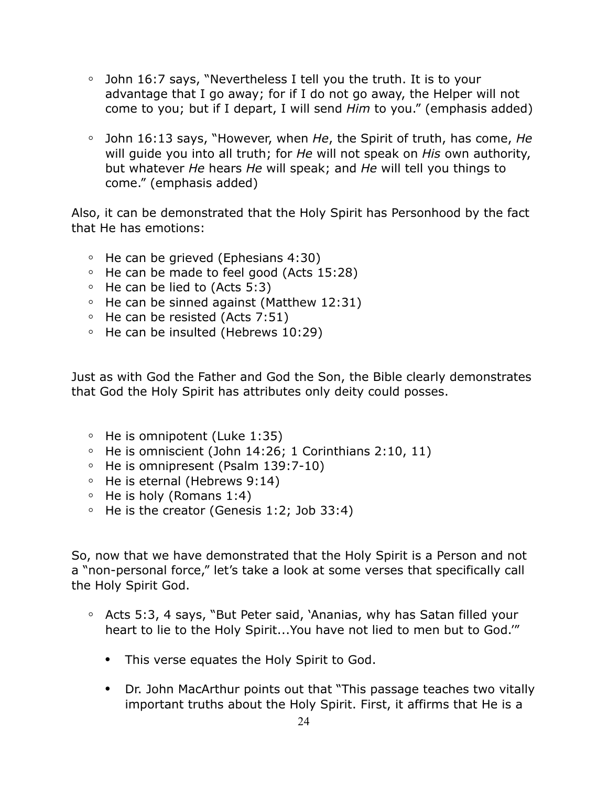- **◦** John 16:7 says, "Nevertheless I tell you the truth. It is to your advantage that I go away; for if I do not go away, the Helper will not come to you; but if I depart, I will send *Him* to you." (emphasis added)
- **◦** John 16:13 says, "However, when *He*, the Spirit of truth, has come, *He*  will guide you into all truth; for *He* will not speak on *His* own authority, but whatever *He* hears *He* will speak; and *He* will tell you things to come." (emphasis added)

Also, it can be demonstrated that the Holy Spirit has Personhood by the fact that He has emotions:

- **◦** He can be grieved (Ephesians 4:30)
- **◦** He can be made to feel good (Acts 15:28)
- **◦** He can be lied to (Acts 5:3)
- **◦** He can be sinned against (Matthew 12:31)
- **◦** He can be resisted (Acts 7:51)
- **◦** He can be insulted (Hebrews 10:29)

Just as with God the Father and God the Son, the Bible clearly demonstrates that God the Holy Spirit has attributes only deity could posses.

- **◦** He is omnipotent (Luke 1:35)
- **◦** He is omniscient (John 14:26; 1 Corinthians 2:10, 11)
- **◦** He is omnipresent (Psalm 139:7-10)
- **◦** He is eternal (Hebrews 9:14)
- **◦** He is holy (Romans 1:4)
- **◦** He is the creator (Genesis 1:2; Job 33:4)

So, now that we have demonstrated that the Holy Spirit is a Person and not a "non-personal force," let's take a look at some verses that specifically call the Holy Spirit God.

- **◦** Acts 5:3, 4 says, "But Peter said, 'Ananias, why has Satan filled your heart to lie to the Holy Spirit...You have not lied to men but to God.'"
	- **•** This verse equates the Holy Spirit to God.
	- **•** Dr. John MacArthur points out that "This passage teaches two vitally important truths about the Holy Spirit. First, it affirms that He is a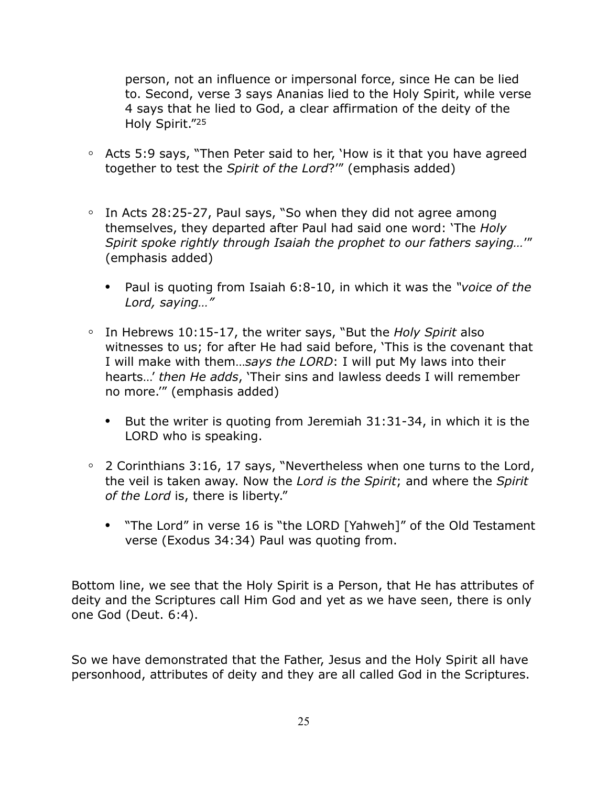person, not an influence or impersonal force, since He can be lied to. Second, verse 3 says Ananias lied to the Holy Spirit, while verse 4 says that he lied to God, a clear affirmation of the deity of the Holy Spirit."25

- **◦** Acts 5:9 says, "Then Peter said to her, 'How is it that you have agreed together to test the *Spirit of the Lord*?'" (emphasis added)
- **◦** In Acts 28:25-27, Paul says, "So when they did not agree among themselves, they departed after Paul had said one word: 'The *Holy Spirit spoke rightly through Isaiah the prophet to our fathers saying…*'" (emphasis added)
	- **•** Paul is quoting from Isaiah 6:8-10, in which it was the *"voice of the Lord, saying…"*
- **◦** In Hebrews 10:15-17, the writer says, "But the *Holy Spirit* also witnesses to us; for after He had said before, 'This is the covenant that I will make with them…*says the LORD*: I will put My laws into their hearts…' *then He adds*, 'Their sins and lawless deeds I will remember no more.'" (emphasis added)
	- **•** But the writer is quoting from Jeremiah 31:31-34, in which it is the LORD who is speaking.
- **◦** 2 Corinthians 3:16, 17 says, "Nevertheless when one turns to the Lord, the veil is taken away. Now the *Lord is the Spirit*; and where the *Spirit of the Lord* is, there is liberty."
	- **•** "The Lord" in verse 16 is "the LORD [Yahweh]" of the Old Testament verse (Exodus 34:34) Paul was quoting from.

Bottom line, we see that the Holy Spirit is a Person, that He has attributes of deity and the Scriptures call Him God and yet as we have seen, there is only one God (Deut. 6:4).

So we have demonstrated that the Father, Jesus and the Holy Spirit all have personhood, attributes of deity and they are all called God in the Scriptures.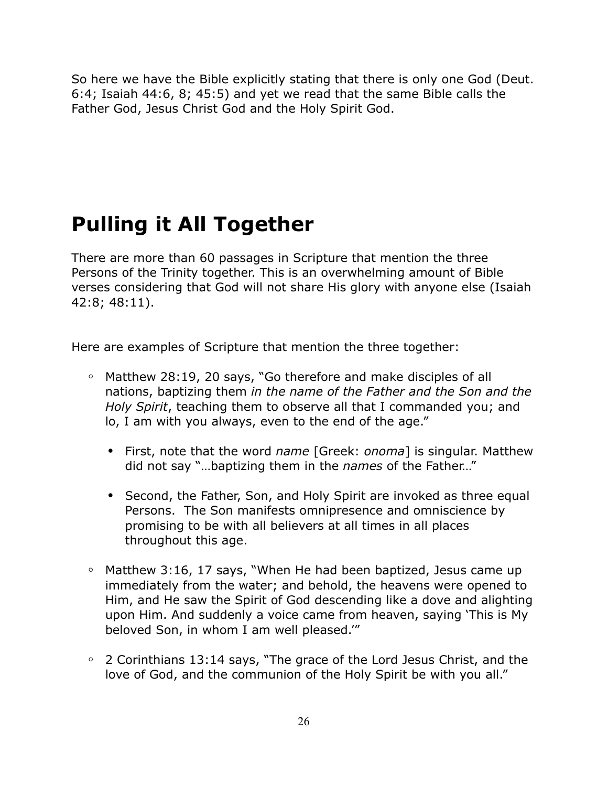So here we have the Bible explicitly stating that there is only one God (Deut. 6:4; Isaiah 44:6, 8; 45:5) and yet we read that the same Bible calls the Father God, Jesus Christ God and the Holy Spirit God.

# **Pulling it All Together**

There are more than 60 passages in Scripture that mention the three Persons of the Trinity together. This is an overwhelming amount of Bible verses considering that God will not share His glory with anyone else (Isaiah 42:8; 48:11).

Here are examples of Scripture that mention the three together:

- **◦** Matthew 28:19, 20 says, "Go therefore and make disciples of all nations, baptizing them *in the name of the Father and the Son and the Holy Spirit*, teaching them to observe all that I commanded you; and lo, I am with you always, even to the end of the age."
	- **•** First, note that the word *name* [Greek: *onoma*] is singular. Matthew did not say "…baptizing them in the *names* of the Father…"
	- **•** Second, the Father, Son, and Holy Spirit are invoked as three equal Persons. The Son manifests omnipresence and omniscience by promising to be with all believers at all times in all places throughout this age.
- **◦** Matthew 3:16, 17 says, "When He had been baptized, Jesus came up immediately from the water; and behold, the heavens were opened to Him, and He saw the Spirit of God descending like a dove and alighting upon Him. And suddenly a voice came from heaven, saying 'This is My beloved Son, in whom I am well pleased.'"
- **◦** 2 Corinthians 13:14 says, "The grace of the Lord Jesus Christ, and the love of God, and the communion of the Holy Spirit be with you all."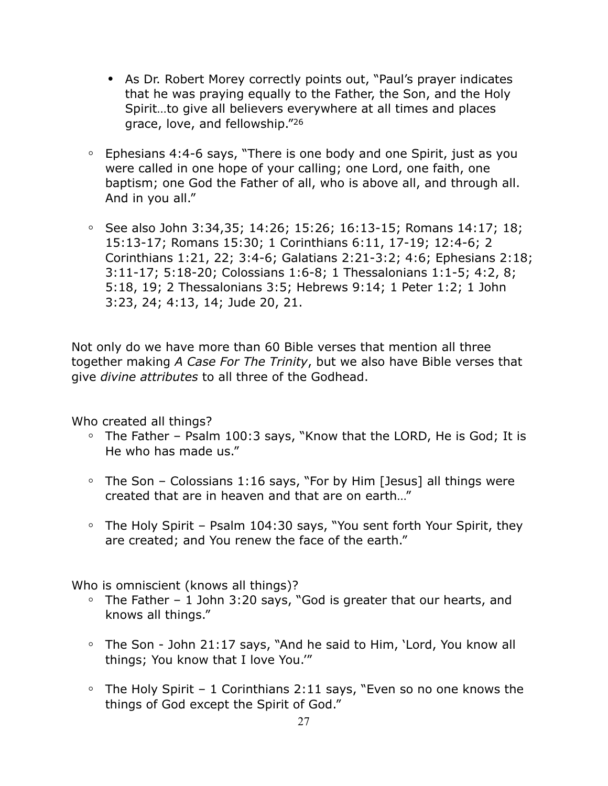- **•** As Dr. Robert Morey correctly points out, "Paul's prayer indicates that he was praying equally to the Father, the Son, and the Holy Spirit…to give all believers everywhere at all times and places grace, love, and fellowship."26
- **◦** Ephesians 4:4-6 says, "There is one body and one Spirit, just as you were called in one hope of your calling; one Lord, one faith, one baptism; one God the Father of all, who is above all, and through all. And in you all."
- **◦** See also John 3:34,35; 14:26; 15:26; 16:13-15; Romans 14:17; 18; 15:13-17; Romans 15:30; 1 Corinthians 6:11, 17-19; 12:4-6; 2 Corinthians 1:21, 22; 3:4-6; Galatians 2:21-3:2; 4:6; Ephesians 2:18; 3:11-17; 5:18-20; Colossians 1:6-8; 1 Thessalonians 1:1-5; 4:2, 8; 5:18, 19; 2 Thessalonians 3:5; Hebrews 9:14; 1 Peter 1:2; 1 John 3:23, 24; 4:13, 14; Jude 20, 21.

Not only do we have more than 60 Bible verses that mention all three together making *A Case For The Trinity*, but we also have Bible verses that give *divine attributes* to all three of the Godhead.

Who created all things?

- **◦** The Father Psalm 100:3 says, "Know that the LORD, He is God; It is He who has made us."
- **◦** The Son Colossians 1:16 says, "For by Him [Jesus] all things were created that are in heaven and that are on earth…"
- **◦** The Holy Spirit Psalm 104:30 says, "You sent forth Your Spirit, they are created; and You renew the face of the earth."

Who is omniscient (knows all things)?

- **◦** The Father 1 John 3:20 says, "God is greater that our hearts, and knows all things."
- **◦** The Son John 21:17 says, "And he said to Him, 'Lord, You know all things; You know that I love You.'"
- **◦** The Holy Spirit 1 Corinthians 2:11 says, "Even so no one knows the things of God except the Spirit of God."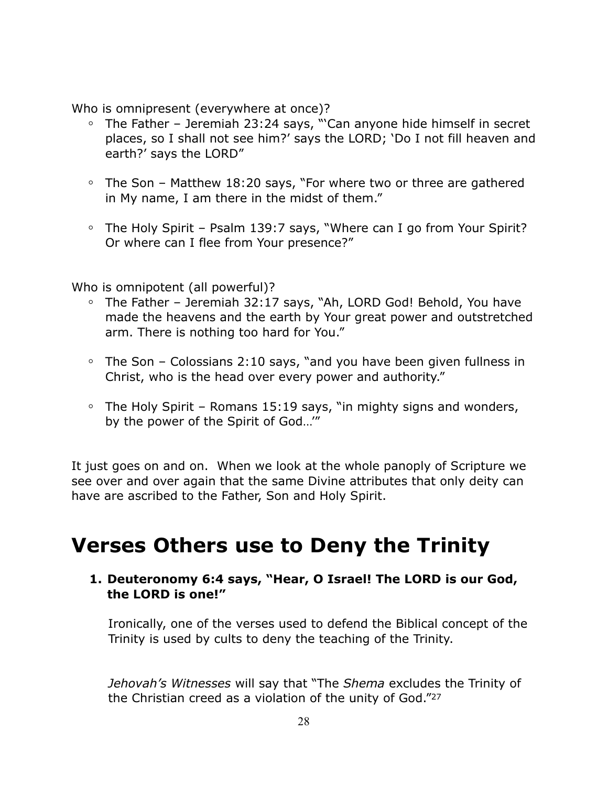Who is omnipresent (everywhere at once)?

- **◦** The Father Jeremiah 23:24 says, "'Can anyone hide himself in secret places, so I shall not see him?' says the LORD; 'Do I not fill heaven and earth?' says the LORD"
- **◦** The Son Matthew 18:20 says, "For where two or three are gathered in My name, I am there in the midst of them."
- **◦** The Holy Spirit Psalm 139:7 says, "Where can I go from Your Spirit? Or where can I flee from Your presence?"

Who is omnipotent (all powerful)?

- **◦** The Father Jeremiah 32:17 says, "Ah, LORD God! Behold, You have made the heavens and the earth by Your great power and outstretched arm. There is nothing too hard for You."
- **◦** The Son Colossians 2:10 says, "and you have been given fullness in Christ, who is the head over every power and authority."
- **◦** The Holy Spirit Romans 15:19 says, "in mighty signs and wonders, by the power of the Spirit of God…'"

It just goes on and on. When we look at the whole panoply of Scripture we see over and over again that the same Divine attributes that only deity can have are ascribed to the Father, Son and Holy Spirit.

# **Verses Others use to Deny the Trinity**

### **1. Deuteronomy 6:4 says, "Hear, O Israel! The LORD is our God, the LORD is one!"**

Ironically, one of the verses used to defend the Biblical concept of the Trinity is used by cults to deny the teaching of the Trinity.

*Jehovah's Witnesses* will say that "The *Shema* excludes the Trinity of the Christian creed as a violation of the unity of God."27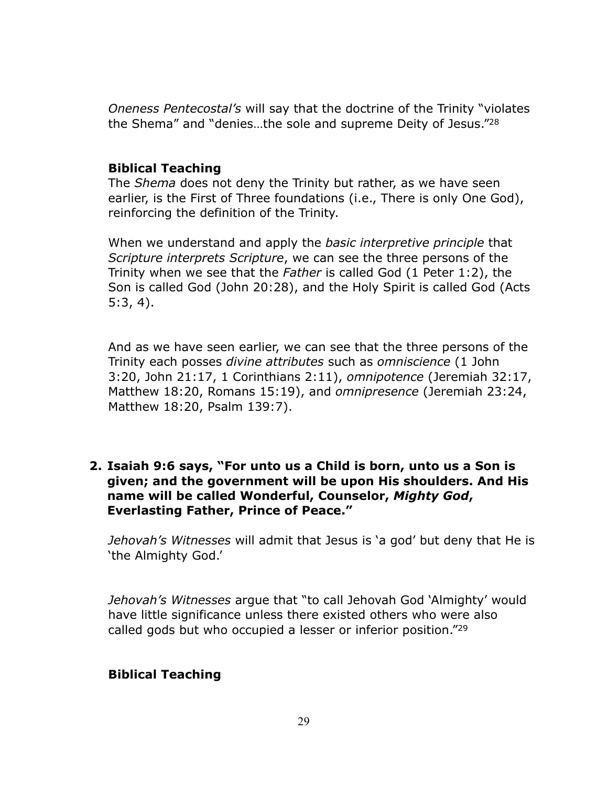*Oneness Pentecostal's* will say that the doctrine of the Trinity "violates the Shema" and "denies…the sole and supreme Deity of Jesus."28

#### **Biblical Teaching**

The *Shema* does not deny the Trinity but rather, as we have seen earlier, is the First of Three foundations (i.e., There is only One God), reinforcing the definition of the Trinity.

When we understand and apply the *basic interpretive principle* that *Scripture interprets Scripture*, we can see the three persons of the Trinity when we see that the *Father* is called God (1 Peter 1:2), the Son is called God (John 20:28), and the Holy Spirit is called God (Acts 5:3, 4).

And as we have seen earlier, we can see that the three persons of the Trinity each posses *divine attributes* such as *omniscience* (1 John 3:20, John 21:17, 1 Corinthians 2:11), *omnipotence* (Jeremiah 32:17, Matthew 18:20, Romans 15:19), and *omnipresence* (Jeremiah 23:24, Matthew 18:20, Psalm 139:7).

### **2. Isaiah 9:6 says, "For unto us a Child is born, unto us a Son is given; and the government will be upon His shoulders. And His name will be called Wonderful, Counselor,** *Mighty God***, Everlasting Father, Prince of Peace."**

*Jehovah's Witnesses* will admit that Jesus is 'a god' but deny that He is 'the Almighty God.'

*Jehovah's Witnesses* argue that "to call Jehovah God 'Almighty' would have little significance unless there existed others who were also called gods but who occupied a lesser or inferior position."29

#### **Biblical Teaching**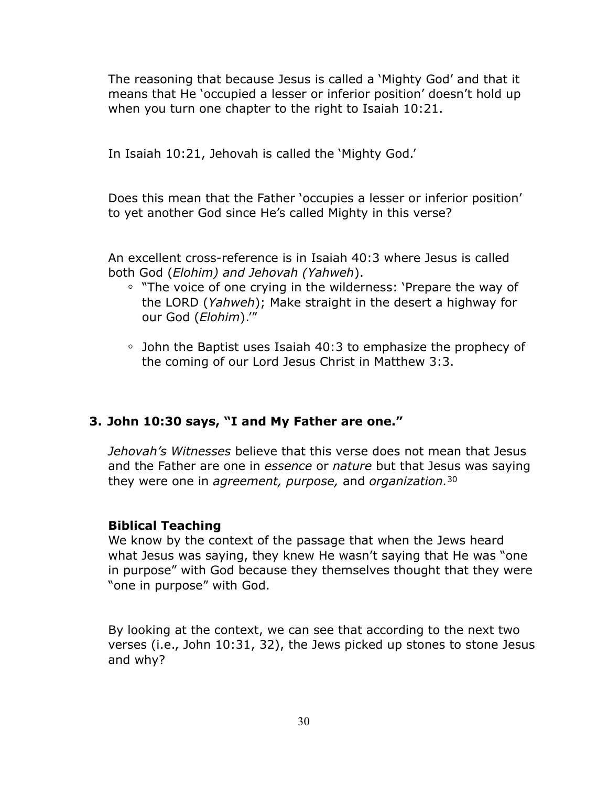The reasoning that because Jesus is called a 'Mighty God' and that it means that He 'occupied a lesser or inferior position' doesn't hold up when you turn one chapter to the right to Isaiah 10:21.

In Isaiah 10:21, Jehovah is called the 'Mighty God.'

Does this mean that the Father 'occupies a lesser or inferior position' to yet another God since He's called Mighty in this verse?

An excellent cross-reference is in Isaiah 40:3 where Jesus is called both God (*Elohim) and Jehovah (Yahweh*).

- **◦** "The voice of one crying in the wilderness: 'Prepare the way of the LORD (*Yahweh*); Make straight in the desert a highway for our God (*Elohim*).'"
- **◦** John the Baptist uses Isaiah 40:3 to emphasize the prophecy of the coming of our Lord Jesus Christ in Matthew 3:3.

### **3. John 10:30 says, "I and My Father are one."**

*Jehovah's Witnesses* believe that this verse does not mean that Jesus and the Father are one in *essence* or *nature* but that Jesus was saying they were one in *agreement, purpose,* and *organization.*<sup>30</sup>

#### **Biblical Teaching**

We know by the context of the passage that when the Jews heard what Jesus was saying, they knew He wasn't saying that He was "one in purpose" with God because they themselves thought that they were "one in purpose" with God.

By looking at the context, we can see that according to the next two verses (i.e., John 10:31, 32), the Jews picked up stones to stone Jesus and why?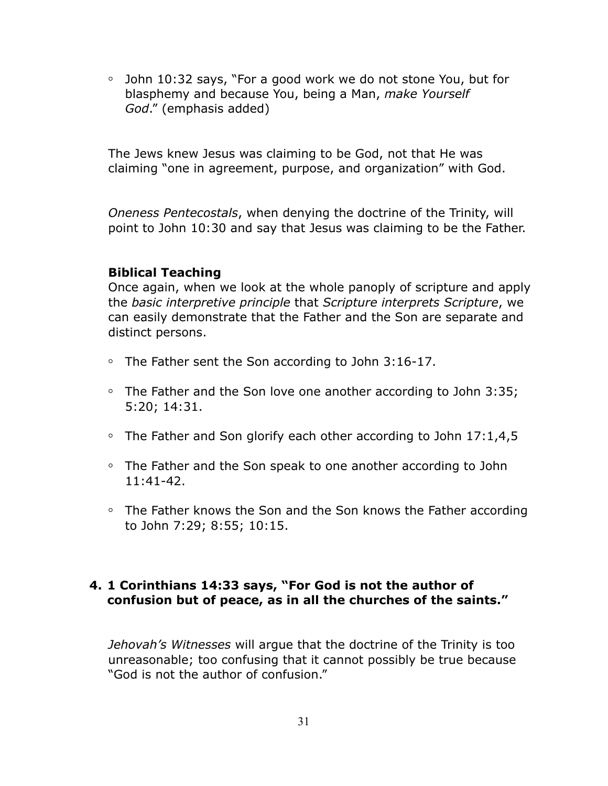**◦** John 10:32 says, "For a good work we do not stone You, but for blasphemy and because You, being a Man, *make Yourself God*." (emphasis added)

The Jews knew Jesus was claiming to be God, not that He was claiming "one in agreement, purpose, and organization" with God.

*Oneness Pentecostals*, when denying the doctrine of the Trinity, will point to John 10:30 and say that Jesus was claiming to be the Father.

#### **Biblical Teaching**

Once again, when we look at the whole panoply of scripture and apply the *basic interpretive principle* that *Scripture interprets Scripture*, we can easily demonstrate that the Father and the Son are separate and distinct persons.

- **◦** The Father sent the Son according to John 3:16-17.
- **◦** The Father and the Son love one another according to John 3:35; 5:20; 14:31.
- **◦** The Father and Son glorify each other according to John 17:1,4,5
- **◦** The Father and the Son speak to one another according to John 11:41-42.
- **◦** The Father knows the Son and the Son knows the Father according to John 7:29; 8:55; 10:15.

### **4. 1 Corinthians 14:33 says, "For God is not the author of confusion but of peace, as in all the churches of the saints."**

*Jehovah's Witnesses* will argue that the doctrine of the Trinity is too unreasonable; too confusing that it cannot possibly be true because "God is not the author of confusion."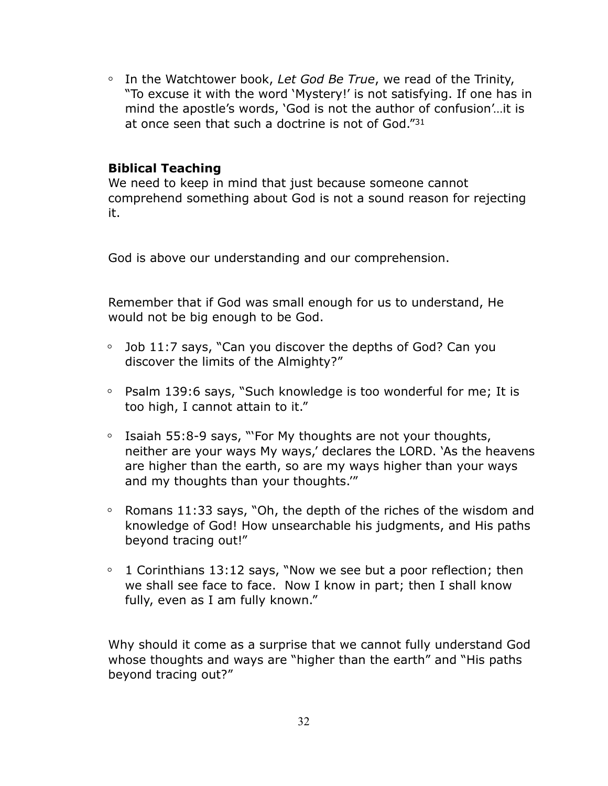**◦** In the Watchtower book, *Let God Be True*, we read of the Trinity, "To excuse it with the word 'Mystery!' is not satisfying. If one has in mind the apostle's words, 'God is not the author of confusion'…it is at once seen that such a doctrine is not of God."31

### **Biblical Teaching**

We need to keep in mind that just because someone cannot comprehend something about God is not a sound reason for rejecting it.

God is above our understanding and our comprehension.

Remember that if God was small enough for us to understand, He would not be big enough to be God.

- **◦** Job 11:7 says, "Can you discover the depths of God? Can you discover the limits of the Almighty?"
- **◦** Psalm 139:6 says, "Such knowledge is too wonderful for me; It is too high, I cannot attain to it."
- **◦** Isaiah 55:8-9 says, "'For My thoughts are not your thoughts, neither are your ways My ways,' declares the LORD. 'As the heavens are higher than the earth, so are my ways higher than your ways and my thoughts than your thoughts.'"
- **◦** Romans 11:33 says, "Oh, the depth of the riches of the wisdom and knowledge of God! How unsearchable his judgments, and His paths beyond tracing out!"
- **◦** 1 Corinthians 13:12 says, "Now we see but a poor reflection; then we shall see face to face. Now I know in part; then I shall know fully, even as I am fully known."

Why should it come as a surprise that we cannot fully understand God whose thoughts and ways are "higher than the earth" and "His paths beyond tracing out?"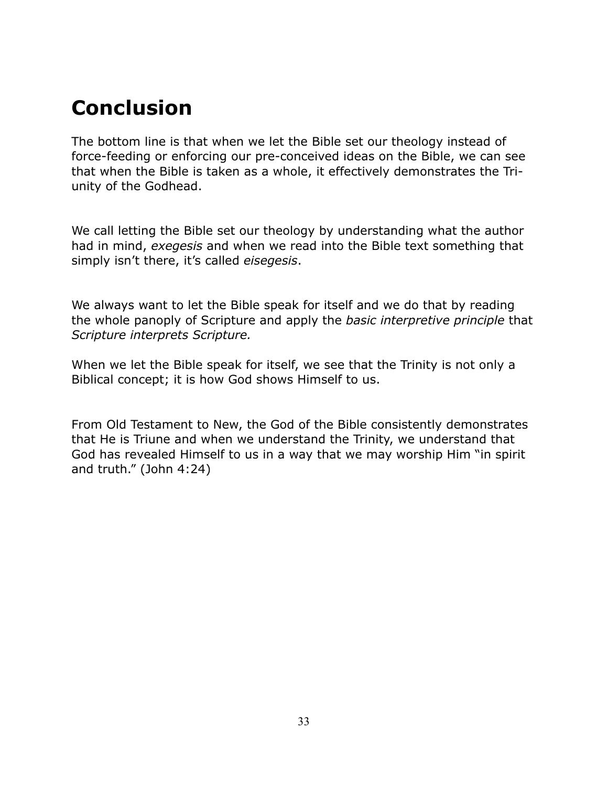# **Conclusion**

The bottom line is that when we let the Bible set our theology instead of force-feeding or enforcing our pre-conceived ideas on the Bible, we can see that when the Bible is taken as a whole, it effectively demonstrates the Triunity of the Godhead.

We call letting the Bible set our theology by understanding what the author had in mind, *exegesis* and when we read into the Bible text something that simply isn't there, it's called *eisegesis*.

We always want to let the Bible speak for itself and we do that by reading the whole panoply of Scripture and apply the *basic interpretive principle* that *Scripture interprets Scripture.* 

When we let the Bible speak for itself, we see that the Trinity is not only a Biblical concept; it is how God shows Himself to us.

From Old Testament to New, the God of the Bible consistently demonstrates that He is Triune and when we understand the Trinity, we understand that God has revealed Himself to us in a way that we may worship Him "in spirit and truth." (John 4:24)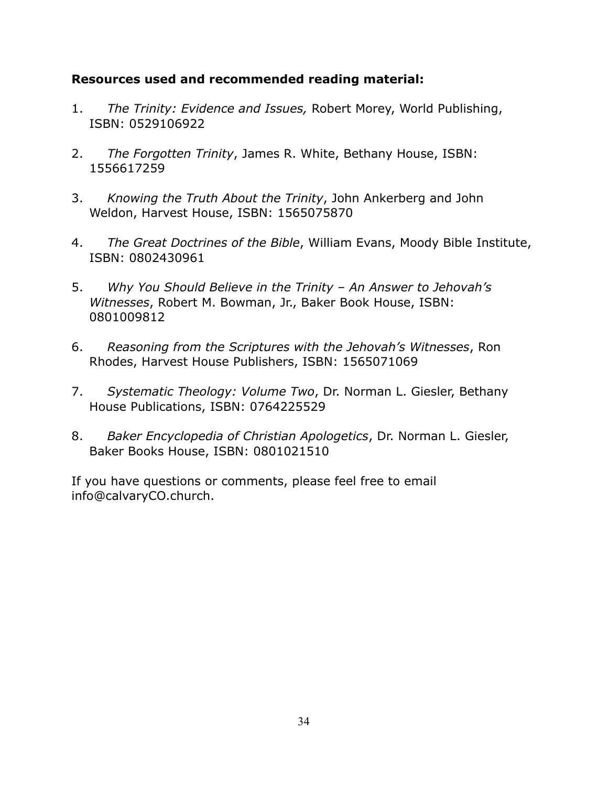### **Resources used and recommended reading material:**

- 1. *The Trinity: Evidence and Issues,* Robert Morey, World Publishing, ISBN: 0529106922
- 2. *The Forgotten Trinity*, James R. White, Bethany House, ISBN: 1556617259
- 3. *Knowing the Truth About the Trinity*, John Ankerberg and John Weldon, Harvest House, ISBN: 1565075870
- 4. *The Great Doctrines of the Bible*, William Evans, Moody Bible Institute, ISBN: 0802430961
- 5. *Why You Should Believe in the Trinity An Answer to Jehovah's Witnesses*, Robert M. Bowman, Jr., Baker Book House, ISBN: 0801009812
- 6. *Reasoning from the Scriptures with the Jehovah's Witnesses*, Ron Rhodes, Harvest House Publishers, ISBN: 1565071069
- 7. *Systematic Theology: Volume Two*, Dr. Norman L. Giesler, Bethany House Publications, ISBN: 0764225529
- 8. *Baker Encyclopedia of Christian Apologetics*, Dr. Norman L. Giesler, Baker Books House, ISBN: 0801021510

If you have questions or comments, please feel free to email info@calvaryCO.church.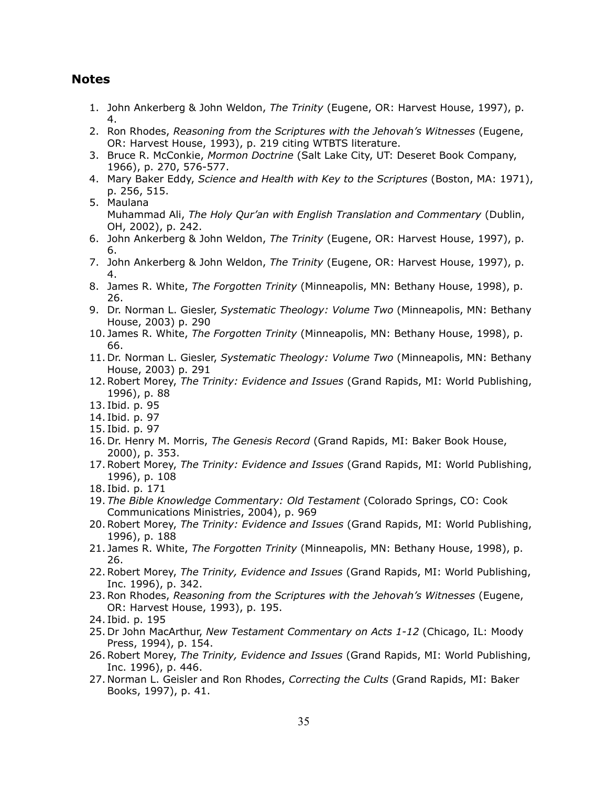#### **Notes**

- 1. John Ankerberg & John Weldon, *The Trinity* (Eugene, OR: Harvest House, 1997), p. 4.
- 2. Ron Rhodes, *Reasoning from the Scriptures with the Jehovah's Witnesses* (Eugene, OR: Harvest House, 1993), p. 219 citing WTBTS literature.
- 3. Bruce R. McConkie, *Mormon Doctrine* (Salt Lake City, UT: Deseret Book Company, 1966), p. 270, 576-577.
- 4. Mary Baker Eddy, *Science and Health with Key to the Scriptures* (Boston, MA: 1971), p. 256, 515.
- 5. Maulana Muhammad Ali, *The Holy Qur'an with English Translation and Commentary* (Dublin, OH, 2002), p. 242.
- 6. John Ankerberg & John Weldon, *The Trinity* (Eugene, OR: Harvest House, 1997), p. 6.
- 7. John Ankerberg & John Weldon, *The Trinity* (Eugene, OR: Harvest House, 1997), p. 4.
- 8. James R. White, *The Forgotten Trinity* (Minneapolis, MN: Bethany House, 1998), p. 26.
- 9. Dr. Norman L. Giesler, *Systematic Theology: Volume Two* (Minneapolis, MN: Bethany House, 2003) p. 290
- 10. James R. White, *The Forgotten Trinity* (Minneapolis, MN: Bethany House, 1998), p. 66.
- 11. Dr. Norman L. Giesler, *Systematic Theology: Volume Two* (Minneapolis, MN: Bethany House, 2003) p. 291
- 12.Robert Morey, *The Trinity: Evidence and Issues* (Grand Rapids, MI: World Publishing, 1996), p. 88
- 13. Ibid. p. 95
- 14. Ibid. p. 97
- 15. Ibid. p. 97
- 16. Dr. Henry M. Morris, *The Genesis Record* (Grand Rapids, MI: Baker Book House, 2000), p. 353.
- 17.Robert Morey, *The Trinity: Evidence and Issues* (Grand Rapids, MI: World Publishing, 1996), p. 108
- 18. Ibid. p. 171
- 19. *The Bible Knowledge Commentary: Old Testament* (Colorado Springs, CO: Cook Communications Ministries, 2004), p. 969
- 20.Robert Morey, *The Trinity: Evidence and Issues* (Grand Rapids, MI: World Publishing, 1996), p. 188
- 21. James R. White, *The Forgotten Trinity* (Minneapolis, MN: Bethany House, 1998), p. 26.
- 22.Robert Morey, *The Trinity, Evidence and Issues* (Grand Rapids, MI: World Publishing, Inc. 1996), p. 342.
- 23.Ron Rhodes, *Reasoning from the Scriptures with the Jehovah's Witnesses* (Eugene, OR: Harvest House, 1993), p. 195.
- 24. Ibid. p. 195
- 25. Dr John MacArthur, *New Testament Commentary on Acts 1-12* (Chicago, IL: Moody Press, 1994), p. 154.
- 26.Robert Morey, *The Trinity, Evidence and Issues* (Grand Rapids, MI: World Publishing, Inc. 1996), p. 446.
- 27. Norman L. Geisler and Ron Rhodes, *Correcting the Cults* (Grand Rapids, MI: Baker Books, 1997), p. 41.